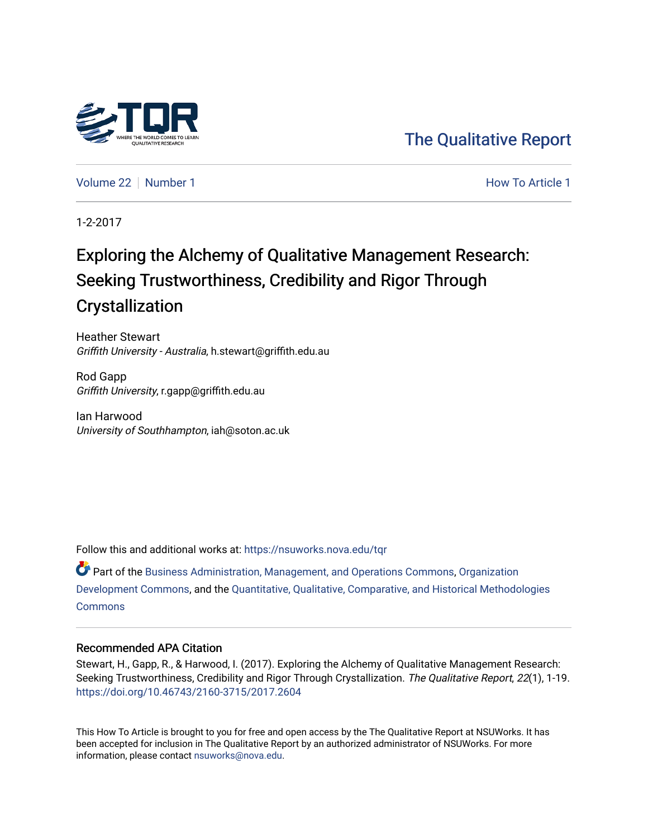

[The Qualitative Report](https://nsuworks.nova.edu/tqr) 

[Volume 22](https://nsuworks.nova.edu/tqr/vol22) [Number 1](https://nsuworks.nova.edu/tqr/vol22/iss1) **Number 1** According to Article 1 According to Article 1 According to Article 1 According to Article 1

1-2-2017

# Exploring the Alchemy of Qualitative Management Research: Seeking Trustworthiness, Credibility and Rigor Through Crystallization

Heather Stewart Griffith University - Australia, h.stewart@griffith.edu.au

Rod Gapp Griffith University, r.gapp@griffith.edu.au

Ian Harwood University of Southhampton, iah@soton.ac.uk

Follow this and additional works at: [https://nsuworks.nova.edu/tqr](https://nsuworks.nova.edu/tqr?utm_source=nsuworks.nova.edu%2Ftqr%2Fvol22%2Fiss1%2F1&utm_medium=PDF&utm_campaign=PDFCoverPages) 

Part of the [Business Administration, Management, and Operations Commons](http://network.bepress.com/hgg/discipline/623?utm_source=nsuworks.nova.edu%2Ftqr%2Fvol22%2Fiss1%2F1&utm_medium=PDF&utm_campaign=PDFCoverPages), [Organization](http://network.bepress.com/hgg/discipline/1242?utm_source=nsuworks.nova.edu%2Ftqr%2Fvol22%2Fiss1%2F1&utm_medium=PDF&utm_campaign=PDFCoverPages) [Development Commons](http://network.bepress.com/hgg/discipline/1242?utm_source=nsuworks.nova.edu%2Ftqr%2Fvol22%2Fiss1%2F1&utm_medium=PDF&utm_campaign=PDFCoverPages), and the [Quantitative, Qualitative, Comparative, and Historical Methodologies](http://network.bepress.com/hgg/discipline/423?utm_source=nsuworks.nova.edu%2Ftqr%2Fvol22%2Fiss1%2F1&utm_medium=PDF&utm_campaign=PDFCoverPages)  **[Commons](http://network.bepress.com/hgg/discipline/423?utm_source=nsuworks.nova.edu%2Ftqr%2Fvol22%2Fiss1%2F1&utm_medium=PDF&utm_campaign=PDFCoverPages)** 

#### Recommended APA Citation

Stewart, H., Gapp, R., & Harwood, I. (2017). Exploring the Alchemy of Qualitative Management Research: Seeking Trustworthiness, Credibility and Rigor Through Crystallization. The Qualitative Report, 22(1), 1-19. <https://doi.org/10.46743/2160-3715/2017.2604>

This How To Article is brought to you for free and open access by the The Qualitative Report at NSUWorks. It has been accepted for inclusion in The Qualitative Report by an authorized administrator of NSUWorks. For more information, please contact [nsuworks@nova.edu.](mailto:nsuworks@nova.edu)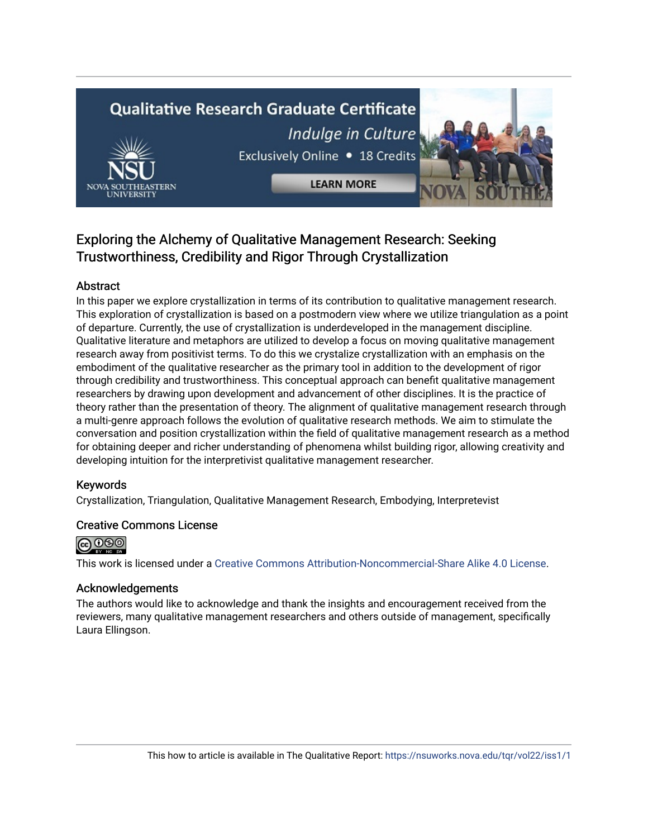# **Qualitative Research Graduate Certificate** Indulge in Culture



**LEARN MORE** 



# Exploring the Alchemy of Qualitative Management Research: Seeking Trustworthiness, Credibility and Rigor Through Crystallization

# Abstract

In this paper we explore crystallization in terms of its contribution to qualitative management research. This exploration of crystallization is based on a postmodern view where we utilize triangulation as a point of departure. Currently, the use of crystallization is underdeveloped in the management discipline. Qualitative literature and metaphors are utilized to develop a focus on moving qualitative management research away from positivist terms. To do this we crystalize crystallization with an emphasis on the embodiment of the qualitative researcher as the primary tool in addition to the development of rigor through credibility and trustworthiness. This conceptual approach can benefit qualitative management researchers by drawing upon development and advancement of other disciplines. It is the practice of theory rather than the presentation of theory. The alignment of qualitative management research through a multi-genre approach follows the evolution of qualitative research methods. We aim to stimulate the conversation and position crystallization within the field of qualitative management research as a method for obtaining deeper and richer understanding of phenomena whilst building rigor, allowing creativity and developing intuition for the interpretivist qualitative management researcher.

## Keywords

Crystallization, Triangulation, Qualitative Management Research, Embodying, Interpretevist

## Creative Commons License



This work is licensed under a [Creative Commons Attribution-Noncommercial-Share Alike 4.0 License](https://creativecommons.org/licenses/by-nc-sa/4.0/).

## Acknowledgements

The authors would like to acknowledge and thank the insights and encouragement received from the reviewers, many qualitative management researchers and others outside of management, specifically Laura Ellingson.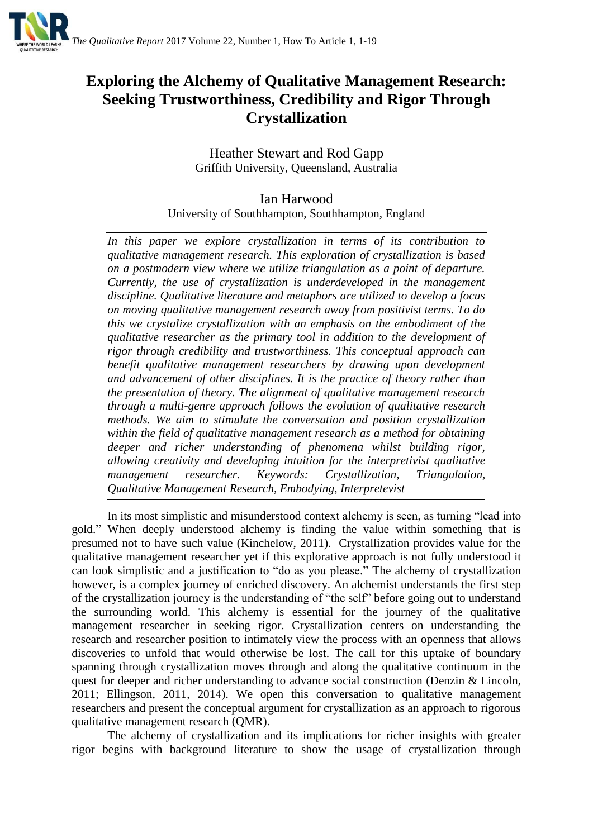

# **Exploring the Alchemy of Qualitative Management Research: Seeking Trustworthiness, Credibility and Rigor Through Crystallization**

Heather Stewart and Rod Gapp Griffith University, Queensland, Australia

Ian Harwood University of Southhampton, Southhampton, England

*In this paper we explore crystallization in terms of its contribution to qualitative management research. This exploration of crystallization is based on a postmodern view where we utilize triangulation as a point of departure. Currently, the use of crystallization is underdeveloped in the management discipline. Qualitative literature and metaphors are utilized to develop a focus on moving qualitative management research away from positivist terms. To do this we crystalize crystallization with an emphasis on the embodiment of the qualitative researcher as the primary tool in addition to the development of rigor through credibility and trustworthiness. This conceptual approach can benefit qualitative management researchers by drawing upon development and advancement of other disciplines. It is the practice of theory rather than the presentation of theory. The alignment of qualitative management research through a multi-genre approach follows the evolution of qualitative research methods. We aim to stimulate the conversation and position crystallization within the field of qualitative management research as a method for obtaining deeper and richer understanding of phenomena whilst building rigor, allowing creativity and developing intuition for the interpretivist qualitative management researcher. Keywords: Crystallization, Triangulation, Qualitative Management Research, Embodying, Interpretevist*

In its most simplistic and misunderstood context alchemy is seen, as turning "lead into gold." When deeply understood alchemy is finding the value within something that is presumed not to have such value (Kinchelow, 2011). Crystallization provides value for the qualitative management researcher yet if this explorative approach is not fully understood it can look simplistic and a justification to "do as you please." The alchemy of crystallization however, is a complex journey of enriched discovery. An alchemist understands the first step of the crystallization journey is the understanding of "the self" before going out to understand the surrounding world. This alchemy is essential for the journey of the qualitative management researcher in seeking rigor. Crystallization centers on understanding the research and researcher position to intimately view the process with an openness that allows discoveries to unfold that would otherwise be lost. The call for this uptake of boundary spanning through crystallization moves through and along the qualitative continuum in the quest for deeper and richer understanding to advance social construction (Denzin & Lincoln, 2011; Ellingson, 2011, 2014). We open this conversation to qualitative management researchers and present the conceptual argument for crystallization as an approach to rigorous qualitative management research (QMR).

The alchemy of crystallization and its implications for richer insights with greater rigor begins with background literature to show the usage of crystallization through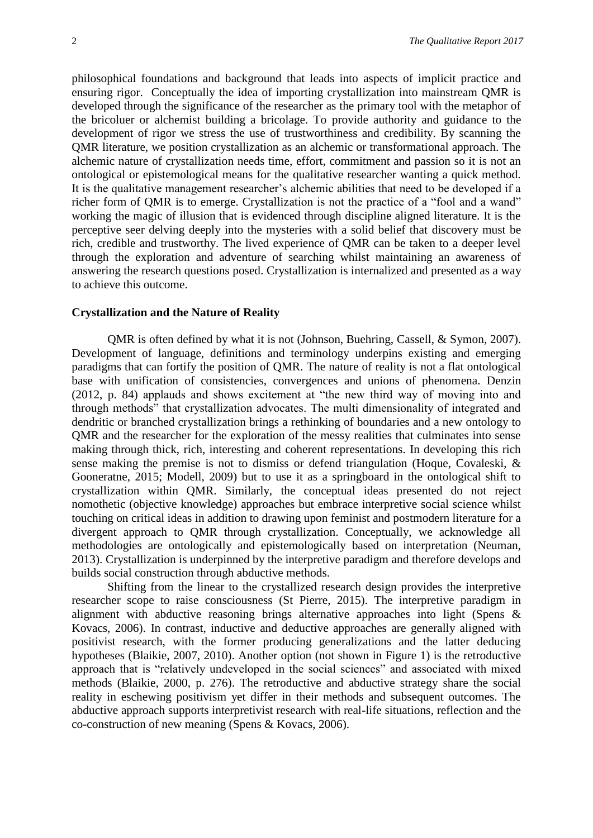philosophical foundations and background that leads into aspects of implicit practice and ensuring rigor. Conceptually the idea of importing crystallization into mainstream QMR is developed through the significance of the researcher as the primary tool with the metaphor of the bricoluer or alchemist building a bricolage. To provide authority and guidance to the development of rigor we stress the use of trustworthiness and credibility. By scanning the QMR literature, we position crystallization as an alchemic or transformational approach. The alchemic nature of crystallization needs time, effort, commitment and passion so it is not an ontological or epistemological means for the qualitative researcher wanting a quick method. It is the qualitative management researcher's alchemic abilities that need to be developed if a richer form of QMR is to emerge. Crystallization is not the practice of a "fool and a wand" working the magic of illusion that is evidenced through discipline aligned literature. It is the perceptive seer delving deeply into the mysteries with a solid belief that discovery must be rich, credible and trustworthy. The lived experience of QMR can be taken to a deeper level through the exploration and adventure of searching whilst maintaining an awareness of answering the research questions posed. Crystallization is internalized and presented as a way to achieve this outcome.

#### **Crystallization and the Nature of Reality**

QMR is often defined by what it is not (Johnson, Buehring, Cassell, & Symon, 2007). Development of language, definitions and terminology underpins existing and emerging paradigms that can fortify the position of QMR. The nature of reality is not a flat ontological base with unification of consistencies, convergences and unions of phenomena. Denzin (2012, p. 84) applauds and shows excitement at "the new third way of moving into and through methods" that crystallization advocates. The multi dimensionality of integrated and dendritic or branched crystallization brings a rethinking of boundaries and a new ontology to QMR and the researcher for the exploration of the messy realities that culminates into sense making through thick, rich, interesting and coherent representations. In developing this rich sense making the premise is not to dismiss or defend triangulation (Hoque, Covaleski, & Gooneratne, 2015; Modell, 2009) but to use it as a springboard in the ontological shift to crystallization within QMR. Similarly, the conceptual ideas presented do not reject nomothetic (objective knowledge) approaches but embrace interpretive social science whilst touching on critical ideas in addition to drawing upon feminist and postmodern literature for a divergent approach to QMR through crystallization. Conceptually, we acknowledge all methodologies are ontologically and epistemologically based on interpretation (Neuman, 2013). Crystallization is underpinned by the interpretive paradigm and therefore develops and builds social construction through abductive methods.

Shifting from the linear to the crystallized research design provides the interpretive researcher scope to raise consciousness (St Pierre, 2015). The interpretive paradigm in alignment with abductive reasoning brings alternative approaches into light (Spens & Kovacs, 2006). In contrast, inductive and deductive approaches are generally aligned with positivist research, with the former producing generalizations and the latter deducing hypotheses (Blaikie, 2007, 2010). Another option (not shown in Figure 1) is the retroductive approach that is "relatively undeveloped in the social sciences" and associated with mixed methods (Blaikie, 2000, p. 276). The retroductive and abductive strategy share the social reality in eschewing positivism yet differ in their methods and subsequent outcomes. The abductive approach supports interpretivist research with real-life situations, reflection and the co-construction of new meaning (Spens & Kovacs, 2006).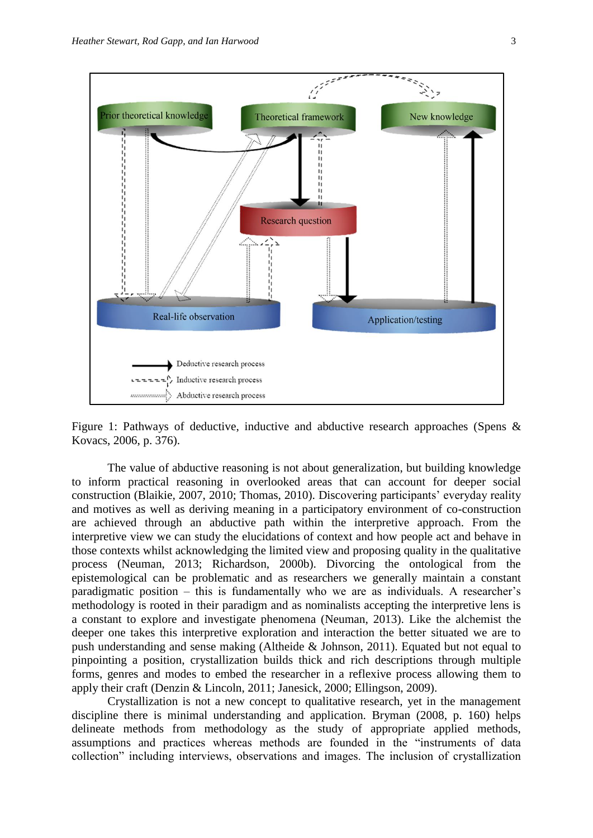

Figure 1: Pathways of deductive, inductive and abductive research approaches (Spens & Kovacs, 2006, p. 376).

The value of abductive reasoning is not about generalization, but building knowledge to inform practical reasoning in overlooked areas that can account for deeper social construction (Blaikie, 2007, 2010; Thomas, 2010). Discovering participants' everyday reality and motives as well as deriving meaning in a participatory environment of co-construction are achieved through an abductive path within the interpretive approach. From the interpretive view we can study the elucidations of context and how people act and behave in those contexts whilst acknowledging the limited view and proposing quality in the qualitative process (Neuman, 2013; Richardson, 2000b). Divorcing the ontological from the epistemological can be problematic and as researchers we generally maintain a constant paradigmatic position – this is fundamentally who we are as individuals. A researcher's methodology is rooted in their paradigm and as nominalists accepting the interpretive lens is a constant to explore and investigate phenomena (Neuman, 2013). Like the alchemist the deeper one takes this interpretive exploration and interaction the better situated we are to push understanding and sense making (Altheide & Johnson, 2011). Equated but not equal to pinpointing a position, crystallization builds thick and rich descriptions through multiple forms, genres and modes to embed the researcher in a reflexive process allowing them to apply their craft (Denzin & Lincoln, 2011; Janesick, 2000; Ellingson, 2009).

Crystallization is not a new concept to qualitative research, yet in the management discipline there is minimal understanding and application. Bryman (2008, p. 160) helps delineate methods from methodology as the study of appropriate applied methods, assumptions and practices whereas methods are founded in the "instruments of data collection" including interviews, observations and images. The inclusion of crystallization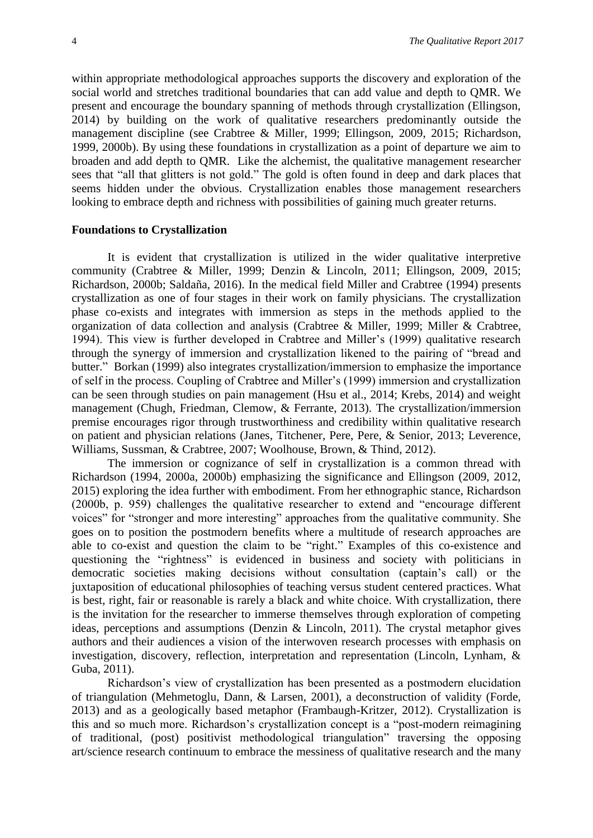within appropriate methodological approaches supports the discovery and exploration of the social world and stretches traditional boundaries that can add value and depth to QMR. We present and encourage the boundary spanning of methods through crystallization (Ellingson, 2014) by building on the work of qualitative researchers predominantly outside the management discipline (see Crabtree & Miller, 1999; Ellingson, 2009, 2015; Richardson, 1999, 2000b). By using these foundations in crystallization as a point of departure we aim to broaden and add depth to QMR. Like the alchemist, the qualitative management researcher sees that "all that glitters is not gold." The gold is often found in deep and dark places that seems hidden under the obvious. Crystallization enables those management researchers looking to embrace depth and richness with possibilities of gaining much greater returns.

#### **Foundations to Crystallization**

It is evident that crystallization is utilized in the wider qualitative interpretive community (Crabtree & Miller, 1999; Denzin & Lincoln, 2011; Ellingson, 2009, 2015; Richardson, 2000b; Saldaña, 2016). In the medical field Miller and Crabtree (1994) presents crystallization as one of four stages in their work on family physicians. The crystallization phase co-exists and integrates with immersion as steps in the methods applied to the organization of data collection and analysis (Crabtree & Miller, 1999; Miller & Crabtree, 1994). This view is further developed in Crabtree and Miller's (1999) qualitative research through the synergy of immersion and crystallization likened to the pairing of "bread and butter." Borkan (1999) also integrates crystallization/immersion to emphasize the importance of self in the process. Coupling of Crabtree and Miller's (1999) immersion and crystallization can be seen through studies on pain management (Hsu et al., 2014; Krebs, 2014) and weight management (Chugh, Friedman, Clemow, & Ferrante, 2013). The crystallization/immersion premise encourages rigor through trustworthiness and credibility within qualitative research on patient and physician relations (Janes, Titchener, Pere, Pere, & Senior, 2013; Leverence, Williams, Sussman, & Crabtree, 2007; Woolhouse, Brown, & Thind, 2012).

The immersion or cognizance of self in crystallization is a common thread with Richardson (1994, 2000a, 2000b) emphasizing the significance and Ellingson (2009, 2012, 2015) exploring the idea further with embodiment. From her ethnographic stance, Richardson (2000b, p. 959) challenges the qualitative researcher to extend and "encourage different voices" for "stronger and more interesting" approaches from the qualitative community. She goes on to position the postmodern benefits where a multitude of research approaches are able to co-exist and question the claim to be "right." Examples of this co-existence and questioning the "rightness" is evidenced in business and society with politicians in democratic societies making decisions without consultation (captain's call) or the juxtaposition of educational philosophies of teaching versus student centered practices. What is best, right, fair or reasonable is rarely a black and white choice. With crystallization, there is the invitation for the researcher to immerse themselves through exploration of competing ideas, perceptions and assumptions (Denzin & Lincoln, 2011). The crystal metaphor gives authors and their audiences a vision of the interwoven research processes with emphasis on investigation, discovery, reflection, interpretation and representation (Lincoln, Lynham, & Guba, 2011).

Richardson's view of crystallization has been presented as a postmodern elucidation of triangulation (Mehmetoglu, Dann, & Larsen, 2001), a deconstruction of validity (Forde, 2013) and as a geologically based metaphor (Frambaugh-Kritzer, 2012). Crystallization is this and so much more. Richardson's crystallization concept is a "post-modern reimagining of traditional, (post) positivist methodological triangulation" traversing the opposing art/science research continuum to embrace the messiness of qualitative research and the many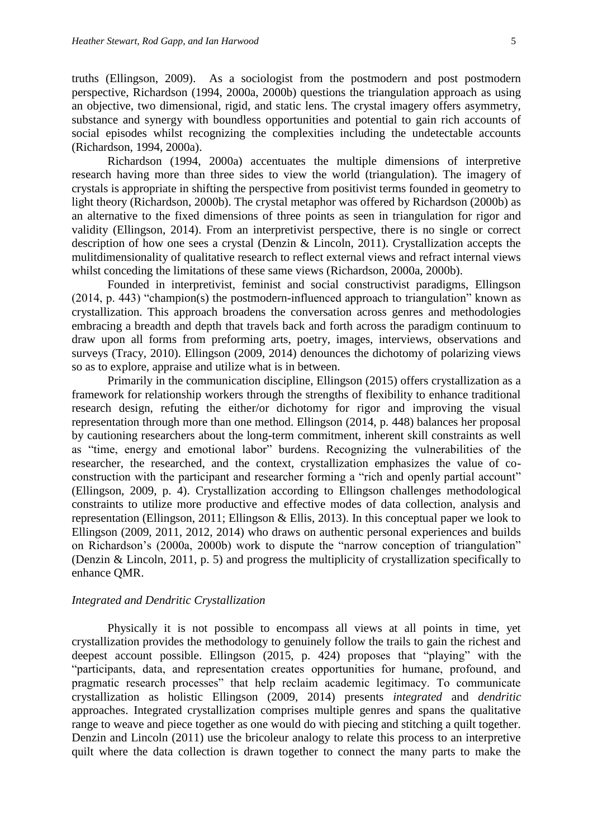truths (Ellingson, 2009). As a sociologist from the postmodern and post postmodern perspective, Richardson (1994, 2000a, 2000b) questions the triangulation approach as using an objective, two dimensional, rigid, and static lens. The crystal imagery offers asymmetry, substance and synergy with boundless opportunities and potential to gain rich accounts of social episodes whilst recognizing the complexities including the undetectable accounts (Richardson, 1994, 2000a).

Richardson (1994, 2000a) accentuates the multiple dimensions of interpretive research having more than three sides to view the world (triangulation). The imagery of crystals is appropriate in shifting the perspective from positivist terms founded in geometry to light theory (Richardson, 2000b). The crystal metaphor was offered by Richardson (2000b) as an alternative to the fixed dimensions of three points as seen in triangulation for rigor and validity (Ellingson, 2014). From an interpretivist perspective, there is no single or correct description of how one sees a crystal (Denzin & Lincoln, 2011). Crystallization accepts the mulitdimensionality of qualitative research to reflect external views and refract internal views whilst conceding the limitations of these same views (Richardson, 2000a, 2000b).

Founded in interpretivist, feminist and social constructivist paradigms, Ellingson (2014, p. 443) "champion(s) the postmodern-influenced approach to triangulation" known as crystallization. This approach broadens the conversation across genres and methodologies embracing a breadth and depth that travels back and forth across the paradigm continuum to draw upon all forms from preforming arts, poetry, images, interviews, observations and surveys (Tracy, 2010). Ellingson (2009, 2014) denounces the dichotomy of polarizing views so as to explore, appraise and utilize what is in between.

Primarily in the communication discipline, Ellingson (2015) offers crystallization as a framework for relationship workers through the strengths of flexibility to enhance traditional research design, refuting the either/or dichotomy for rigor and improving the visual representation through more than one method. Ellingson (2014, p. 448) balances her proposal by cautioning researchers about the long-term commitment, inherent skill constraints as well as "time, energy and emotional labor" burdens. Recognizing the vulnerabilities of the researcher, the researched, and the context, crystallization emphasizes the value of coconstruction with the participant and researcher forming a "rich and openly partial account" (Ellingson, 2009, p. 4). Crystallization according to Ellingson challenges methodological constraints to utilize more productive and effective modes of data collection, analysis and representation (Ellingson, 2011; Ellingson & Ellis, 2013). In this conceptual paper we look to Ellingson (2009, 2011, 2012, 2014) who draws on authentic personal experiences and builds on Richardson's (2000a, 2000b) work to dispute the "narrow conception of triangulation" (Denzin & Lincoln, 2011, p. 5) and progress the multiplicity of crystallization specifically to enhance QMR.

#### *Integrated and Dendritic Crystallization*

Physically it is not possible to encompass all views at all points in time, yet crystallization provides the methodology to genuinely follow the trails to gain the richest and deepest account possible. Ellingson (2015, p. 424) proposes that "playing" with the "participants, data, and representation creates opportunities for humane, profound, and pragmatic research processes" that help reclaim academic legitimacy. To communicate crystallization as holistic Ellingson (2009, 2014) presents *integrated* and *dendritic*  approaches. Integrated crystallization comprises multiple genres and spans the qualitative range to weave and piece together as one would do with piecing and stitching a quilt together. Denzin and Lincoln (2011) use the bricoleur analogy to relate this process to an interpretive quilt where the data collection is drawn together to connect the many parts to make the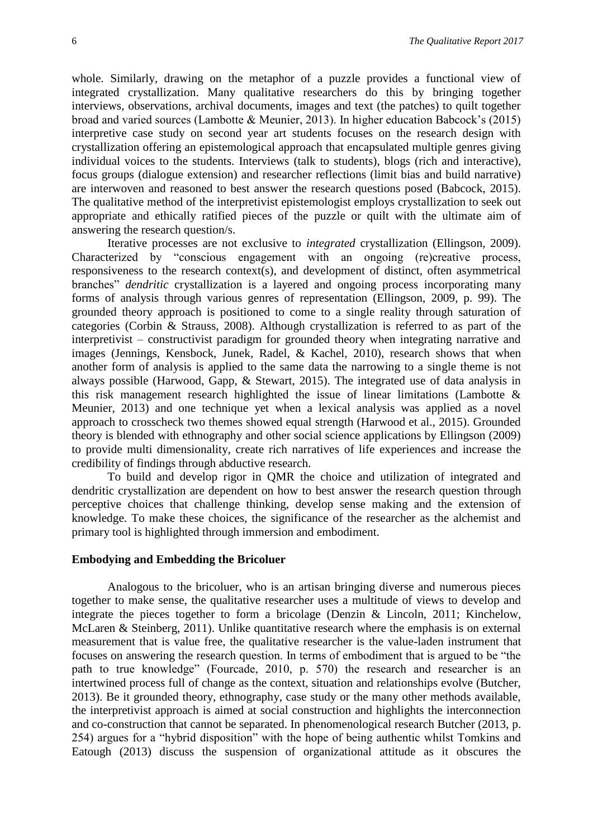whole. Similarly, drawing on the metaphor of a puzzle provides a functional view of integrated crystallization. Many qualitative researchers do this by bringing together interviews, observations, archival documents, images and text (the patches) to quilt together broad and varied sources (Lambotte & Meunier, 2013). In higher education Babcock's (2015) interpretive case study on second year art students focuses on the research design with crystallization offering an epistemological approach that encapsulated multiple genres giving individual voices to the students. Interviews (talk to students), blogs (rich and interactive), focus groups (dialogue extension) and researcher reflections (limit bias and build narrative) are interwoven and reasoned to best answer the research questions posed (Babcock, 2015). The qualitative method of the interpretivist epistemologist employs crystallization to seek out appropriate and ethically ratified pieces of the puzzle or quilt with the ultimate aim of answering the research question/s.

Iterative processes are not exclusive to *integrated* crystallization (Ellingson, 2009). Characterized by "conscious engagement with an ongoing (re)creative process, responsiveness to the research context(s), and development of distinct, often asymmetrical branches" *dendritic* crystallization is a layered and ongoing process incorporating many forms of analysis through various genres of representation (Ellingson, 2009, p. 99). The grounded theory approach is positioned to come to a single reality through saturation of categories (Corbin & Strauss, 2008). Although crystallization is referred to as part of the interpretivist – constructivist paradigm for grounded theory when integrating narrative and images (Jennings, Kensbock, Junek, Radel, & Kachel, 2010), research shows that when another form of analysis is applied to the same data the narrowing to a single theme is not always possible (Harwood, Gapp, & Stewart, 2015). The integrated use of data analysis in this risk management research highlighted the issue of linear limitations (Lambotte  $\&$ Meunier, 2013) and one technique yet when a lexical analysis was applied as a novel approach to crosscheck two themes showed equal strength (Harwood et al., 2015). Grounded theory is blended with ethnography and other social science applications by Ellingson (2009) to provide multi dimensionality, create rich narratives of life experiences and increase the credibility of findings through abductive research.

To build and develop rigor in QMR the choice and utilization of integrated and dendritic crystallization are dependent on how to best answer the research question through perceptive choices that challenge thinking, develop sense making and the extension of knowledge. To make these choices, the significance of the researcher as the alchemist and primary tool is highlighted through immersion and embodiment.

#### **Embodying and Embedding the Bricoluer**

Analogous to the bricoluer, who is an artisan bringing diverse and numerous pieces together to make sense, the qualitative researcher uses a multitude of views to develop and integrate the pieces together to form a bricolage (Denzin & Lincoln, 2011; Kinchelow, McLaren & Steinberg, 2011). Unlike quantitative research where the emphasis is on external measurement that is value free, the qualitative researcher is the value-laden instrument that focuses on answering the research question. In terms of embodiment that is argued to be "the path to true knowledge" (Fourcade, 2010, p. 570) the research and researcher is an intertwined process full of change as the context, situation and relationships evolve (Butcher, 2013). Be it grounded theory, ethnography, case study or the many other methods available, the interpretivist approach is aimed at social construction and highlights the interconnection and co-construction that cannot be separated. In phenomenological research Butcher (2013, p. 254) argues for a "hybrid disposition" with the hope of being authentic whilst Tomkins and Eatough (2013) discuss the suspension of organizational attitude as it obscures the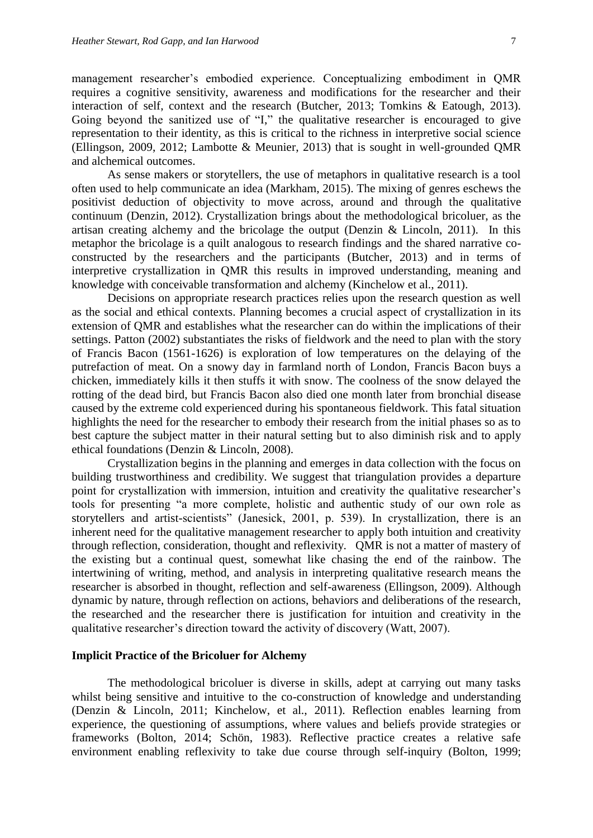management researcher's embodied experience. Conceptualizing embodiment in QMR requires a cognitive sensitivity, awareness and modifications for the researcher and their interaction of self, context and the research (Butcher, 2013; Tomkins & Eatough, 2013). Going beyond the sanitized use of "I," the qualitative researcher is encouraged to give representation to their identity, as this is critical to the richness in interpretive social science (Ellingson, 2009, 2012; Lambotte & Meunier, 2013) that is sought in well-grounded QMR and alchemical outcomes.

As sense makers or storytellers, the use of metaphors in qualitative research is a tool often used to help communicate an idea (Markham, 2015). The mixing of genres eschews the positivist deduction of objectivity to move across, around and through the qualitative continuum (Denzin, 2012). Crystallization brings about the methodological bricoluer, as the artisan creating alchemy and the bricolage the output (Denzin & Lincoln, 2011). In this metaphor the bricolage is a quilt analogous to research findings and the shared narrative coconstructed by the researchers and the participants (Butcher, 2013) and in terms of interpretive crystallization in QMR this results in improved understanding, meaning and knowledge with conceivable transformation and alchemy (Kinchelow et al., 2011).

Decisions on appropriate research practices relies upon the research question as well as the social and ethical contexts. Planning becomes a crucial aspect of crystallization in its extension of QMR and establishes what the researcher can do within the implications of their settings. Patton (2002) substantiates the risks of fieldwork and the need to plan with the story of Francis Bacon (1561-1626) is exploration of low temperatures on the delaying of the putrefaction of meat. On a snowy day in farmland north of London, Francis Bacon buys a chicken, immediately kills it then stuffs it with snow. The coolness of the snow delayed the rotting of the dead bird, but Francis Bacon also died one month later from bronchial disease caused by the extreme cold experienced during his spontaneous fieldwork. This fatal situation highlights the need for the researcher to embody their research from the initial phases so as to best capture the subject matter in their natural setting but to also diminish risk and to apply ethical foundations (Denzin & Lincoln, 2008).

Crystallization begins in the planning and emerges in data collection with the focus on building trustworthiness and credibility. We suggest that triangulation provides a departure point for crystallization with immersion, intuition and creativity the qualitative researcher's tools for presenting "a more complete, holistic and authentic study of our own role as storytellers and artist-scientists" (Janesick, 2001, p. 539). In crystallization, there is an inherent need for the qualitative management researcher to apply both intuition and creativity through reflection, consideration, thought and reflexivity. QMR is not a matter of mastery of the existing but a continual quest, somewhat like chasing the end of the rainbow. The intertwining of writing, method, and analysis in interpreting qualitative research means the researcher is absorbed in thought, reflection and self-awareness (Ellingson, 2009). Although dynamic by nature, through reflection on actions, behaviors and deliberations of the research, the researched and the researcher there is justification for intuition and creativity in the qualitative researcher's direction toward the activity of discovery (Watt, 2007).

#### **Implicit Practice of the Bricoluer for Alchemy**

The methodological bricoluer is diverse in skills, adept at carrying out many tasks whilst being sensitive and intuitive to the co-construction of knowledge and understanding (Denzin & Lincoln, 2011; Kinchelow, et al., 2011). Reflection enables learning from experience, the questioning of assumptions, where values and beliefs provide strategies or frameworks (Bolton, 2014; Schön, 1983). Reflective practice creates a relative safe environment enabling reflexivity to take due course through self-inquiry (Bolton, 1999;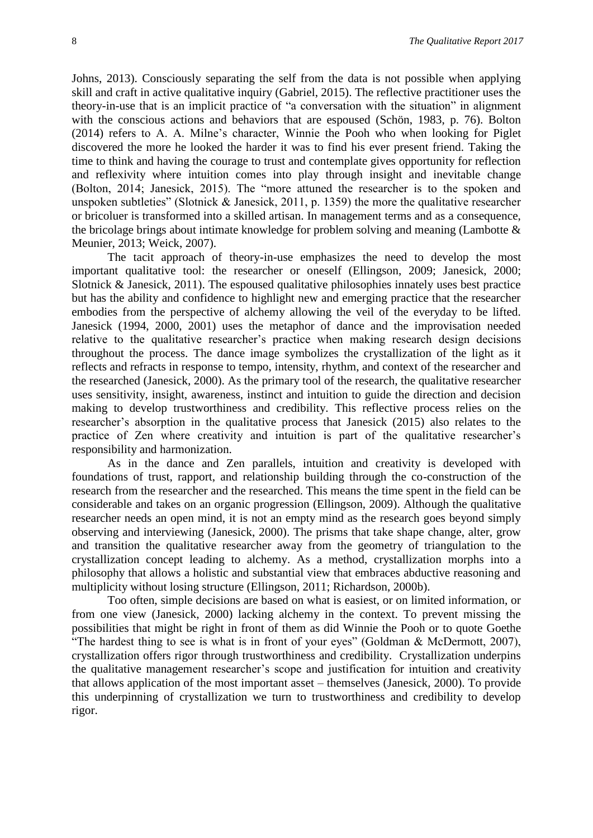Johns, 2013). Consciously separating the self from the data is not possible when applying skill and craft in active qualitative inquiry (Gabriel, 2015). The reflective practitioner uses the theory-in-use that is an implicit practice of "a conversation with the situation" in alignment with the conscious actions and behaviors that are espoused (Schön, 1983, p. 76). Bolton (2014) refers to A. A. Milne's character, Winnie the Pooh who when looking for Piglet discovered the more he looked the harder it was to find his ever present friend. Taking the time to think and having the courage to trust and contemplate gives opportunity for reflection and reflexivity where intuition comes into play through insight and inevitable change (Bolton, 2014; Janesick, 2015). The "more attuned the researcher is to the spoken and unspoken subtleties" (Slotnick & Janesick, 2011, p. 1359) the more the qualitative researcher or bricoluer is transformed into a skilled artisan. In management terms and as a consequence, the bricolage brings about intimate knowledge for problem solving and meaning (Lambotte & Meunier, 2013; Weick, 2007).

The tacit approach of theory-in-use emphasizes the need to develop the most important qualitative tool: the researcher or oneself (Ellingson, 2009; Janesick, 2000; Slotnick & Janesick, 2011). The espoused qualitative philosophies innately uses best practice but has the ability and confidence to highlight new and emerging practice that the researcher embodies from the perspective of alchemy allowing the veil of the everyday to be lifted. Janesick (1994, 2000, 2001) uses the metaphor of dance and the improvisation needed relative to the qualitative researcher's practice when making research design decisions throughout the process. The dance image symbolizes the crystallization of the light as it reflects and refracts in response to tempo, intensity, rhythm, and context of the researcher and the researched (Janesick, 2000). As the primary tool of the research, the qualitative researcher uses sensitivity, insight, awareness, instinct and intuition to guide the direction and decision making to develop trustworthiness and credibility. This reflective process relies on the researcher's absorption in the qualitative process that Janesick (2015) also relates to the practice of Zen where creativity and intuition is part of the qualitative researcher's responsibility and harmonization.

As in the dance and Zen parallels, intuition and creativity is developed with foundations of trust, rapport, and relationship building through the co-construction of the research from the researcher and the researched. This means the time spent in the field can be considerable and takes on an organic progression (Ellingson, 2009). Although the qualitative researcher needs an open mind, it is not an empty mind as the research goes beyond simply observing and interviewing (Janesick, 2000). The prisms that take shape change, alter, grow and transition the qualitative researcher away from the geometry of triangulation to the crystallization concept leading to alchemy. As a method, crystallization morphs into a philosophy that allows a holistic and substantial view that embraces abductive reasoning and multiplicity without losing structure (Ellingson, 2011; Richardson, 2000b).

Too often, simple decisions are based on what is easiest, or on limited information, or from one view (Janesick, 2000) lacking alchemy in the context. To prevent missing the possibilities that might be right in front of them as did Winnie the Pooh or to quote Goethe "The hardest thing to see is what is in front of your eyes" (Goldman & McDermott, 2007), crystallization offers rigor through trustworthiness and credibility. Crystallization underpins the qualitative management researcher's scope and justification for intuition and creativity that allows application of the most important asset – themselves (Janesick, 2000). To provide this underpinning of crystallization we turn to trustworthiness and credibility to develop rigor.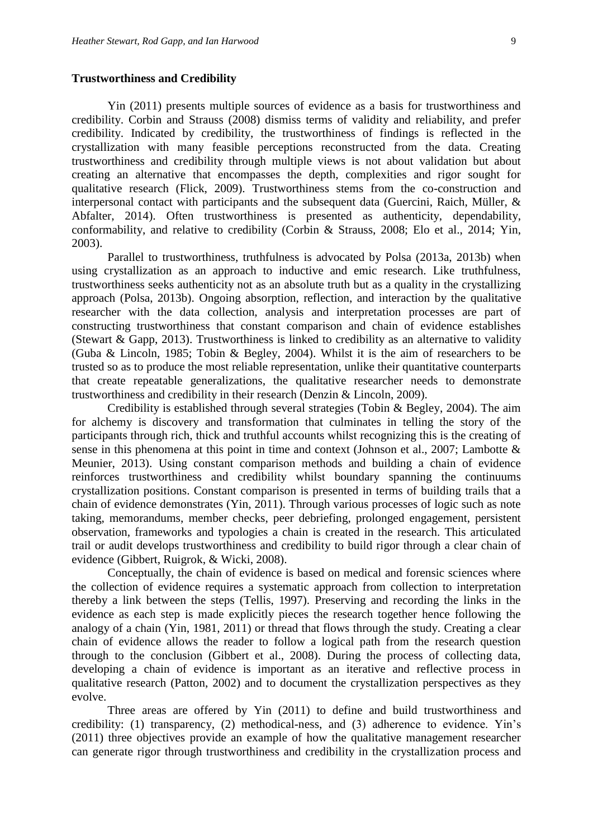#### **Trustworthiness and Credibility**

Yin (2011) presents multiple sources of evidence as a basis for trustworthiness and credibility. Corbin and Strauss (2008) dismiss terms of validity and reliability, and prefer credibility. Indicated by credibility, the trustworthiness of findings is reflected in the crystallization with many feasible perceptions reconstructed from the data. Creating trustworthiness and credibility through multiple views is not about validation but about creating an alternative that encompasses the depth, complexities and rigor sought for qualitative research (Flick, 2009). Trustworthiness stems from the co-construction and interpersonal contact with participants and the subsequent data (Guercini, Raich, Müller, & Abfalter, 2014). Often trustworthiness is presented as authenticity, dependability, conformability, and relative to credibility (Corbin & Strauss, 2008; Elo et al., 2014; Yin, 2003).

Parallel to trustworthiness, truthfulness is advocated by Polsa (2013a, 2013b) when using crystallization as an approach to inductive and emic research. Like truthfulness, trustworthiness seeks authenticity not as an absolute truth but as a quality in the crystallizing approach (Polsa, 2013b). Ongoing absorption, reflection, and interaction by the qualitative researcher with the data collection, analysis and interpretation processes are part of constructing trustworthiness that constant comparison and chain of evidence establishes (Stewart & Gapp, 2013). Trustworthiness is linked to credibility as an alternative to validity (Guba & Lincoln, 1985; Tobin & Begley, 2004). Whilst it is the aim of researchers to be trusted so as to produce the most reliable representation, unlike their quantitative counterparts that create repeatable generalizations, the qualitative researcher needs to demonstrate trustworthiness and credibility in their research (Denzin & Lincoln, 2009).

Credibility is established through several strategies (Tobin & Begley, 2004). The aim for alchemy is discovery and transformation that culminates in telling the story of the participants through rich, thick and truthful accounts whilst recognizing this is the creating of sense in this phenomena at this point in time and context (Johnson et al., 2007; Lambotte & Meunier, 2013). Using constant comparison methods and building a chain of evidence reinforces trustworthiness and credibility whilst boundary spanning the continuums crystallization positions. Constant comparison is presented in terms of building trails that a chain of evidence demonstrates (Yin, 2011). Through various processes of logic such as note taking, memorandums, member checks, peer debriefing, prolonged engagement, persistent observation, frameworks and typologies a chain is created in the research. This articulated trail or audit develops trustworthiness and credibility to build rigor through a clear chain of evidence (Gibbert, Ruigrok, & Wicki, 2008).

Conceptually, the chain of evidence is based on medical and forensic sciences where the collection of evidence requires a systematic approach from collection to interpretation thereby a link between the steps (Tellis, 1997). Preserving and recording the links in the evidence as each step is made explicitly pieces the research together hence following the analogy of a chain (Yin, 1981, 2011) or thread that flows through the study. Creating a clear chain of evidence allows the reader to follow a logical path from the research question through to the conclusion (Gibbert et al., 2008). During the process of collecting data, developing a chain of evidence is important as an iterative and reflective process in qualitative research (Patton, 2002) and to document the crystallization perspectives as they evolve.

Three areas are offered by Yin (2011) to define and build trustworthiness and credibility: (1) transparency, (2) methodical-ness, and (3) adherence to evidence. Yin's (2011) three objectives provide an example of how the qualitative management researcher can generate rigor through trustworthiness and credibility in the crystallization process and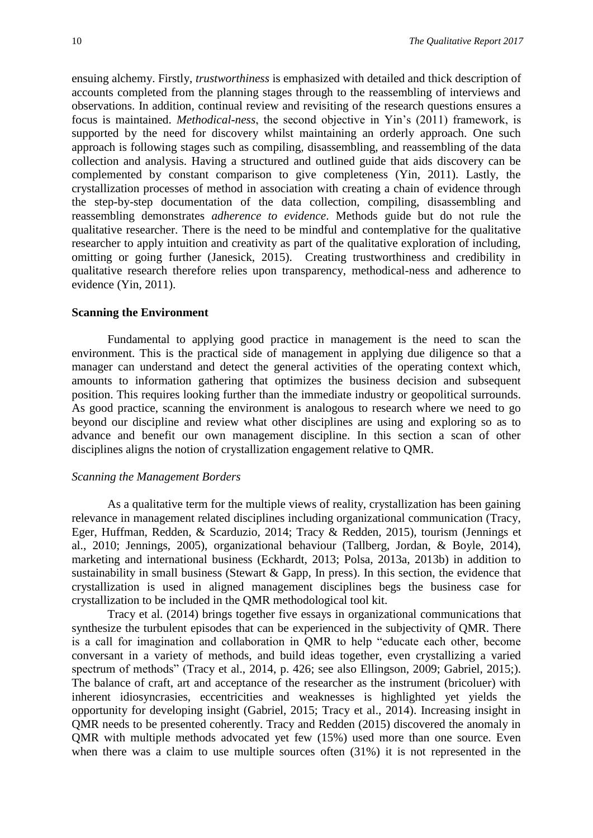ensuing alchemy. Firstly, *trustworthiness* is emphasized with detailed and thick description of accounts completed from the planning stages through to the reassembling of interviews and observations. In addition, continual review and revisiting of the research questions ensures a focus is maintained. *Methodical-ness*, the second objective in Yin's (2011) framework, is supported by the need for discovery whilst maintaining an orderly approach. One such approach is following stages such as compiling, disassembling, and reassembling of the data collection and analysis. Having a structured and outlined guide that aids discovery can be complemented by constant comparison to give completeness (Yin, 2011). Lastly, the crystallization processes of method in association with creating a chain of evidence through the step-by-step documentation of the data collection, compiling, disassembling and reassembling demonstrates *adherence to evidence*. Methods guide but do not rule the qualitative researcher. There is the need to be mindful and contemplative for the qualitative researcher to apply intuition and creativity as part of the qualitative exploration of including, omitting or going further (Janesick, 2015). Creating trustworthiness and credibility in qualitative research therefore relies upon transparency, methodical-ness and adherence to evidence (Yin, 2011).

#### **Scanning the Environment**

Fundamental to applying good practice in management is the need to scan the environment. This is the practical side of management in applying due diligence so that a manager can understand and detect the general activities of the operating context which, amounts to information gathering that optimizes the business decision and subsequent position. This requires looking further than the immediate industry or geopolitical surrounds. As good practice, scanning the environment is analogous to research where we need to go beyond our discipline and review what other disciplines are using and exploring so as to advance and benefit our own management discipline. In this section a scan of other disciplines aligns the notion of crystallization engagement relative to QMR.

#### *Scanning the Management Borders*

As a qualitative term for the multiple views of reality, crystallization has been gaining relevance in management related disciplines including organizational communication (Tracy, Eger, Huffman, Redden, & Scarduzio, 2014; Tracy & Redden, 2015), tourism (Jennings et al., 2010; Jennings, 2005), organizational behaviour (Tallberg, Jordan, & Boyle, 2014), marketing and international business (Eckhardt, 2013; Polsa, 2013a, 2013b) in addition to sustainability in small business (Stewart  $\&$  Gapp, In press). In this section, the evidence that crystallization is used in aligned management disciplines begs the business case for crystallization to be included in the QMR methodological tool kit.

Tracy et al. (2014) brings together five essays in organizational communications that synthesize the turbulent episodes that can be experienced in the subjectivity of QMR. There is a call for imagination and collaboration in QMR to help "educate each other, become conversant in a variety of methods, and build ideas together, even crystallizing a varied spectrum of methods" (Tracy et al., 2014, p. 426; see also Ellingson, 2009; Gabriel, 2015;). The balance of craft, art and acceptance of the researcher as the instrument (bricoluer) with inherent idiosyncrasies, eccentricities and weaknesses is highlighted yet yields the opportunity for developing insight (Gabriel, 2015; Tracy et al., 2014). Increasing insight in QMR needs to be presented coherently. Tracy and Redden (2015) discovered the anomaly in QMR with multiple methods advocated yet few (15%) used more than one source. Even when there was a claim to use multiple sources often (31%) it is not represented in the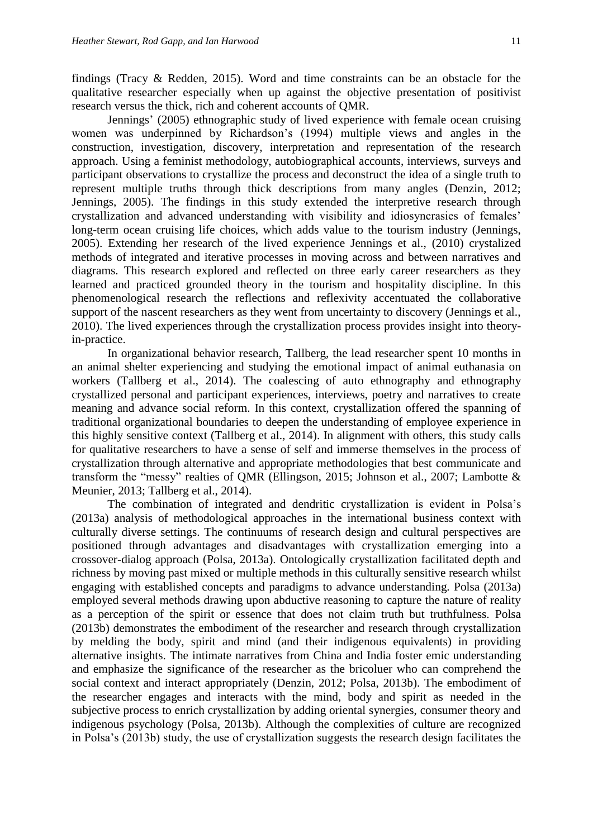findings (Tracy & Redden, 2015). Word and time constraints can be an obstacle for the qualitative researcher especially when up against the objective presentation of positivist research versus the thick, rich and coherent accounts of QMR.

Jennings' (2005) ethnographic study of lived experience with female ocean cruising women was underpinned by Richardson's (1994) multiple views and angles in the construction, investigation, discovery, interpretation and representation of the research approach. Using a feminist methodology, autobiographical accounts, interviews, surveys and participant observations to crystallize the process and deconstruct the idea of a single truth to represent multiple truths through thick descriptions from many angles (Denzin, 2012; Jennings, 2005). The findings in this study extended the interpretive research through crystallization and advanced understanding with visibility and idiosyncrasies of females' long-term ocean cruising life choices, which adds value to the tourism industry (Jennings, 2005). Extending her research of the lived experience Jennings et al., (2010) crystalized methods of integrated and iterative processes in moving across and between narratives and diagrams. This research explored and reflected on three early career researchers as they learned and practiced grounded theory in the tourism and hospitality discipline. In this phenomenological research the reflections and reflexivity accentuated the collaborative support of the nascent researchers as they went from uncertainty to discovery (Jennings et al., 2010). The lived experiences through the crystallization process provides insight into theoryin-practice.

In organizational behavior research, Tallberg, the lead researcher spent 10 months in an animal shelter experiencing and studying the emotional impact of animal euthanasia on workers (Tallberg et al., 2014). The coalescing of auto ethnography and ethnography crystallized personal and participant experiences, interviews, poetry and narratives to create meaning and advance social reform. In this context, crystallization offered the spanning of traditional organizational boundaries to deepen the understanding of employee experience in this highly sensitive context (Tallberg et al., 2014). In alignment with others, this study calls for qualitative researchers to have a sense of self and immerse themselves in the process of crystallization through alternative and appropriate methodologies that best communicate and transform the "messy" realties of QMR (Ellingson, 2015; Johnson et al., 2007; Lambotte & Meunier, 2013; Tallberg et al., 2014).

The combination of integrated and dendritic crystallization is evident in Polsa's (2013a) analysis of methodological approaches in the international business context with culturally diverse settings. The continuums of research design and cultural perspectives are positioned through advantages and disadvantages with crystallization emerging into a crossover-dialog approach (Polsa, 2013a). Ontologically crystallization facilitated depth and richness by moving past mixed or multiple methods in this culturally sensitive research whilst engaging with established concepts and paradigms to advance understanding. Polsa (2013a) employed several methods drawing upon abductive reasoning to capture the nature of reality as a perception of the spirit or essence that does not claim truth but truthfulness. Polsa (2013b) demonstrates the embodiment of the researcher and research through crystallization by melding the body, spirit and mind (and their indigenous equivalents) in providing alternative insights. The intimate narratives from China and India foster emic understanding and emphasize the significance of the researcher as the bricoluer who can comprehend the social context and interact appropriately (Denzin, 2012; Polsa, 2013b). The embodiment of the researcher engages and interacts with the mind, body and spirit as needed in the subjective process to enrich crystallization by adding oriental synergies, consumer theory and indigenous psychology (Polsa, 2013b). Although the complexities of culture are recognized in Polsa's (2013b) study, the use of crystallization suggests the research design facilitates the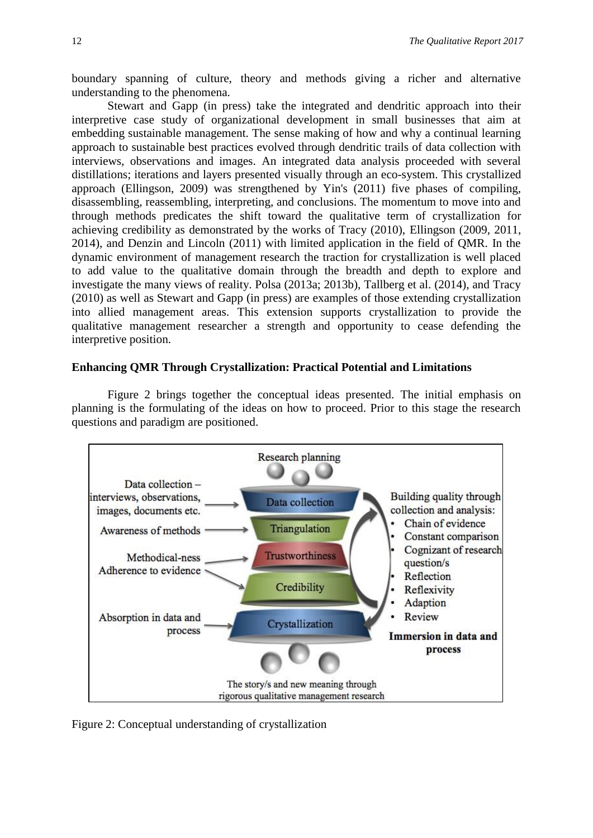boundary spanning of culture, theory and methods giving a richer and alternative understanding to the phenomena.

Stewart and Gapp (in press) take the integrated and dendritic approach into their interpretive case study of organizational development in small businesses that aim at embedding sustainable management. The sense making of how and why a continual learning approach to sustainable best practices evolved through dendritic trails of data collection with interviews, observations and images. An integrated data analysis proceeded with several distillations; iterations and layers presented visually through an eco-system. This crystallized approach (Ellingson, 2009) was strengthened by Yin's (2011) five phases of compiling, disassembling, reassembling, interpreting, and conclusions. The momentum to move into and through methods predicates the shift toward the qualitative term of crystallization for achieving credibility as demonstrated by the works of Tracy (2010), Ellingson (2009, 2011, 2014), and Denzin and Lincoln (2011) with limited application in the field of QMR. In the dynamic environment of management research the traction for crystallization is well placed to add value to the qualitative domain through the breadth and depth to explore and investigate the many views of reality. Polsa (2013a; 2013b), Tallberg et al. (2014), and Tracy (2010) as well as Stewart and Gapp (in press) are examples of those extending crystallization into allied management areas. This extension supports crystallization to provide the qualitative management researcher a strength and opportunity to cease defending the interpretive position.

### **Enhancing QMR Through Crystallization: Practical Potential and Limitations**

Figure 2 brings together the conceptual ideas presented. The initial emphasis on planning is the formulating of the ideas on how to proceed. Prior to this stage the research questions and paradigm are positioned.



Figure 2: Conceptual understanding of crystallization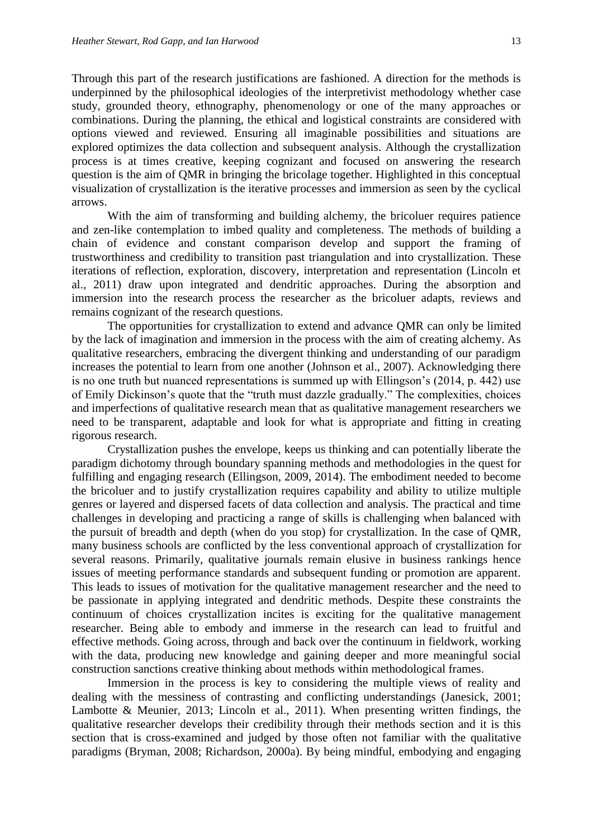Through this part of the research justifications are fashioned. A direction for the methods is underpinned by the philosophical ideologies of the interpretivist methodology whether case study, grounded theory, ethnography, phenomenology or one of the many approaches or combinations. During the planning, the ethical and logistical constraints are considered with options viewed and reviewed. Ensuring all imaginable possibilities and situations are explored optimizes the data collection and subsequent analysis. Although the crystallization process is at times creative, keeping cognizant and focused on answering the research question is the aim of QMR in bringing the bricolage together. Highlighted in this conceptual visualization of crystallization is the iterative processes and immersion as seen by the cyclical arrows.

With the aim of transforming and building alchemy, the bricoluer requires patience and zen-like contemplation to imbed quality and completeness. The methods of building a chain of evidence and constant comparison develop and support the framing of trustworthiness and credibility to transition past triangulation and into crystallization. These iterations of reflection, exploration, discovery, interpretation and representation (Lincoln et al., 2011) draw upon integrated and dendritic approaches. During the absorption and immersion into the research process the researcher as the bricoluer adapts, reviews and remains cognizant of the research questions.

The opportunities for crystallization to extend and advance QMR can only be limited by the lack of imagination and immersion in the process with the aim of creating alchemy. As qualitative researchers, embracing the divergent thinking and understanding of our paradigm increases the potential to learn from one another (Johnson et al., 2007). Acknowledging there is no one truth but nuanced representations is summed up with Ellingson's (2014, p. 442) use of Emily Dickinson's quote that the "truth must dazzle gradually." The complexities, choices and imperfections of qualitative research mean that as qualitative management researchers we need to be transparent, adaptable and look for what is appropriate and fitting in creating rigorous research.

Crystallization pushes the envelope, keeps us thinking and can potentially liberate the paradigm dichotomy through boundary spanning methods and methodologies in the quest for fulfilling and engaging research (Ellingson, 2009, 2014). The embodiment needed to become the bricoluer and to justify crystallization requires capability and ability to utilize multiple genres or layered and dispersed facets of data collection and analysis. The practical and time challenges in developing and practicing a range of skills is challenging when balanced with the pursuit of breadth and depth (when do you stop) for crystallization. In the case of QMR, many business schools are conflicted by the less conventional approach of crystallization for several reasons. Primarily, qualitative journals remain elusive in business rankings hence issues of meeting performance standards and subsequent funding or promotion are apparent. This leads to issues of motivation for the qualitative management researcher and the need to be passionate in applying integrated and dendritic methods. Despite these constraints the continuum of choices crystallization incites is exciting for the qualitative management researcher. Being able to embody and immerse in the research can lead to fruitful and effective methods. Going across, through and back over the continuum in fieldwork, working with the data, producing new knowledge and gaining deeper and more meaningful social construction sanctions creative thinking about methods within methodological frames.

Immersion in the process is key to considering the multiple views of reality and dealing with the messiness of contrasting and conflicting understandings (Janesick, 2001; Lambotte & Meunier, 2013; Lincoln et al., 2011). When presenting written findings, the qualitative researcher develops their credibility through their methods section and it is this section that is cross-examined and judged by those often not familiar with the qualitative paradigms (Bryman, 2008; Richardson, 2000a). By being mindful, embodying and engaging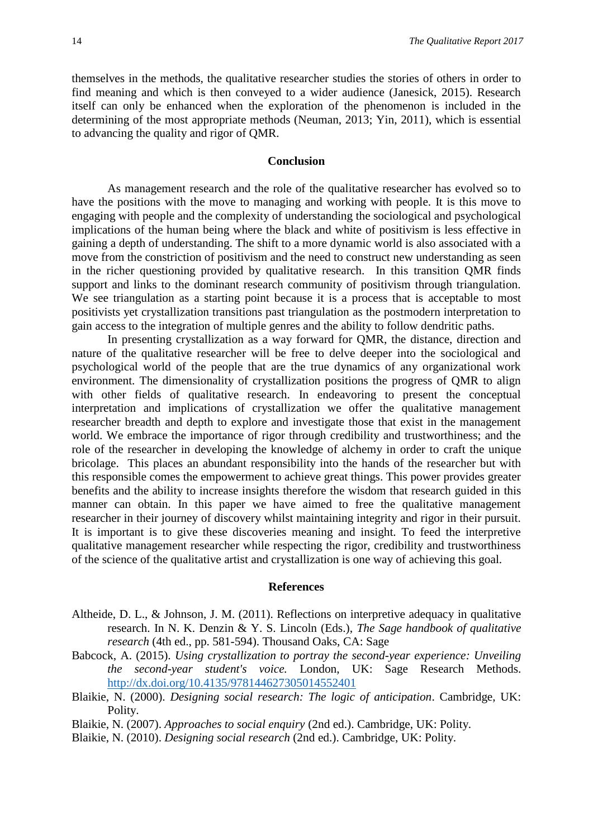themselves in the methods, the qualitative researcher studies the stories of others in order to find meaning and which is then conveyed to a wider audience (Janesick, 2015). Research itself can only be enhanced when the exploration of the phenomenon is included in the determining of the most appropriate methods (Neuman, 2013; Yin, 2011), which is essential to advancing the quality and rigor of QMR.

#### **Conclusion**

As management research and the role of the qualitative researcher has evolved so to have the positions with the move to managing and working with people. It is this move to engaging with people and the complexity of understanding the sociological and psychological implications of the human being where the black and white of positivism is less effective in gaining a depth of understanding. The shift to a more dynamic world is also associated with a move from the constriction of positivism and the need to construct new understanding as seen in the richer questioning provided by qualitative research. In this transition QMR finds support and links to the dominant research community of positivism through triangulation. We see triangulation as a starting point because it is a process that is acceptable to most positivists yet crystallization transitions past triangulation as the postmodern interpretation to gain access to the integration of multiple genres and the ability to follow dendritic paths.

In presenting crystallization as a way forward for QMR, the distance, direction and nature of the qualitative researcher will be free to delve deeper into the sociological and psychological world of the people that are the true dynamics of any organizational work environment. The dimensionality of crystallization positions the progress of QMR to align with other fields of qualitative research. In endeavoring to present the conceptual interpretation and implications of crystallization we offer the qualitative management researcher breadth and depth to explore and investigate those that exist in the management world. We embrace the importance of rigor through credibility and trustworthiness; and the role of the researcher in developing the knowledge of alchemy in order to craft the unique bricolage. This places an abundant responsibility into the hands of the researcher but with this responsible comes the empowerment to achieve great things. This power provides greater benefits and the ability to increase insights therefore the wisdom that research guided in this manner can obtain. In this paper we have aimed to free the qualitative management researcher in their journey of discovery whilst maintaining integrity and rigor in their pursuit. It is important is to give these discoveries meaning and insight. To feed the interpretive qualitative management researcher while respecting the rigor, credibility and trustworthiness of the science of the qualitative artist and crystallization is one way of achieving this goal.

#### **References**

- Altheide, D. L., & Johnson, J. M. (2011). Reflections on interpretive adequacy in qualitative research. In N. K. Denzin & Y. S. Lincoln (Eds.), *The Sage handbook of qualitative research* (4th ed., pp. 581-594). Thousand Oaks, CA: Sage
- Babcock, A. (2015). *Using crystallization to portray the second-year experience: Unveiling the second-year student's voice.* London, UK: Sage Research Methods. <http://dx.doi.org/10.4135/978144627305014552401>
- Blaikie, N. (2000). *Designing social research: The logic of anticipation*. Cambridge, UK: Polity.
- Blaikie, N. (2007). *Approaches to social enquiry* (2nd ed.). Cambridge, UK: Polity.
- Blaikie, N. (2010). *Designing social research* (2nd ed.). Cambridge, UK: Polity.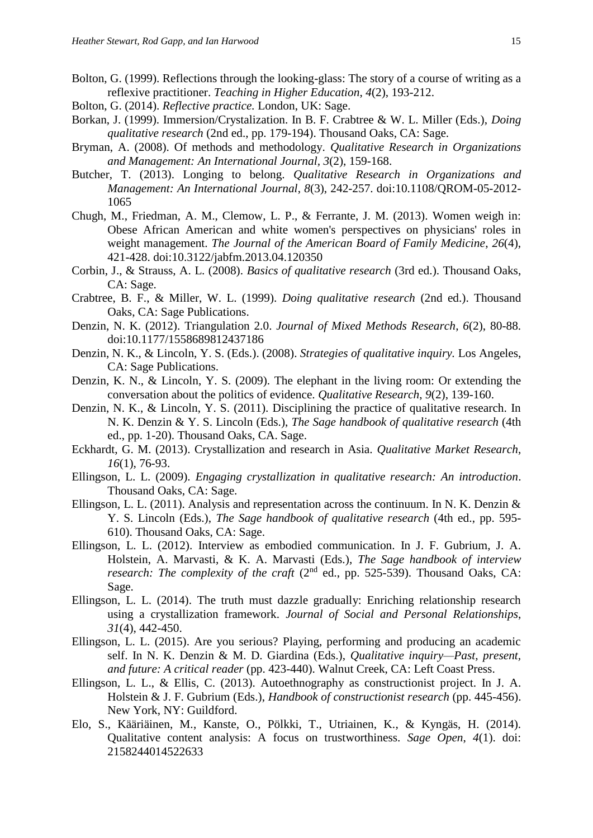- Bolton, G. (1999). Reflections through the looking-glass: The story of a course of writing as a reflexive practitioner. *Teaching in Higher Education*, *4*(2), 193-212.
- Bolton, G. (2014). *Reflective practice.* London, UK: Sage.
- Borkan, J. (1999). Immersion/Crystalization. In B. F. Crabtree & W. L. Miller (Eds.), *Doing qualitative research* (2nd ed., pp. 179-194). Thousand Oaks, CA: Sage.
- Bryman, A. (2008). Of methods and methodology. *Qualitative Research in Organizations and Management: An International Journal, 3*(2), 159-168.
- Butcher, T. (2013). Longing to belong. *Qualitative Research in Organizations and Management: An International Journal*, *8*(3), 242-257. doi:10.1108/QROM-05-2012- 1065
- Chugh, M., Friedman, A. M., Clemow, L. P., & Ferrante, J. M. (2013). Women weigh in: Obese African American and white women's perspectives on physicians' roles in weight management. *The Journal of the American Board of Family Medicine*, *26*(4), 421-428. doi:10.3122/jabfm.2013.04.120350
- Corbin, J., & Strauss, A. L. (2008). *Basics of qualitative research* (3rd ed.). Thousand Oaks, CA: Sage.
- Crabtree, B. F., & Miller, W. L. (1999). *Doing qualitative research* (2nd ed.). Thousand Oaks, CA: Sage Publications.
- Denzin, N. K. (2012). Triangulation 2.0. *Journal of Mixed Methods Research*, *6*(2), 80-88. doi:10.1177/1558689812437186
- Denzin, N. K., & Lincoln, Y. S. (Eds.). (2008). *Strategies of qualitative inquiry.* Los Angeles, CA: Sage Publications.
- Denzin, K. N., & Lincoln, Y. S. (2009). The elephant in the living room: Or extending the conversation about the politics of evidence. *Qualitative Research*, *9*(2), 139-160.
- Denzin, N. K., & Lincoln, Y. S. (2011). Disciplining the practice of qualitative research. In N. K. Denzin & Y. S. Lincoln (Eds.), *The Sage handbook of qualitative research* (4th ed., pp. 1-20). Thousand Oaks, CA. Sage.
- Eckhardt, G. M. (2013). Crystallization and research in Asia. *Qualitative Market Research*, *16*(1), 76-93.
- Ellingson, L. L. (2009). *Engaging crystallization in qualitative research: An introduction*. Thousand Oaks, CA: Sage.
- Ellingson, L. L. (2011). Analysis and representation across the continuum. In N. K. Denzin & Y. S. Lincoln (Eds.), *The Sage handbook of qualitative research* (4th ed., pp. 595- 610). Thousand Oaks, CA: Sage.
- Ellingson, L. L. (2012). Interview as embodied communication. In J. F. Gubrium, J. A. Holstein, A. Marvasti, & K. A. Marvasti (Eds.), *The Sage handbook of interview research: The complexity of the craft* (2<sup>nd</sup> ed., pp. 525-539). Thousand Oaks, CA: Sage.
- Ellingson, L. L. (2014). The truth must dazzle gradually: Enriching relationship research using a crystallization framework. *Journal of Social and Personal Relationships*, *31*(4), 442-450.
- Ellingson, L. L. (2015). Are you serious? Playing, performing and producing an academic self. In N. K. Denzin & M. D. Giardina (Eds.), *Qualitative inquiry—Past, present, and future: A critical reader* (pp. 423-440). Walnut Creek, CA: Left Coast Press.
- Ellingson, L. L., & Ellis, C. (2013). Autoethnography as constructionist project. In J. A. Holstein & J. F. Gubrium (Eds.), *Handbook of constructionist research* (pp. 445-456). New York, NY: Guildford.
- Elo, S., Kääriäinen, M., Kanste, O., Pölkki, T., Utriainen, K., & Kyngäs, H. (2014). Qualitative content analysis: A focus on trustworthiness. *Sage Open*, *4*(1). doi: 2158244014522633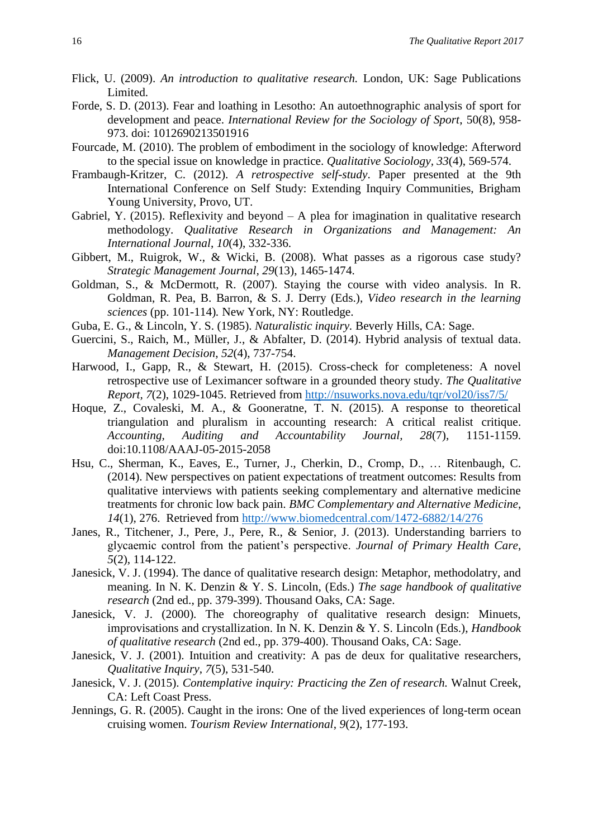- Flick, U. (2009). *An introduction to qualitative research.* London, UK: Sage Publications Limited.
- Forde, S. D. (2013). Fear and loathing in Lesotho: An autoethnographic analysis of sport for development and peace. *International Review for the Sociology of Sport*, 50(8), 958- 973. doi: 1012690213501916
- Fourcade, M. (2010). The problem of embodiment in the sociology of knowledge: Afterword to the special issue on knowledge in practice. *Qualitative Sociology, 33*(4), 569-574.
- Frambaugh-Kritzer, C. (2012). *A retrospective self-study*. Paper presented at the 9th International Conference on Self Study: Extending Inquiry Communities, Brigham Young University, Provo, UT.
- Gabriel, Y. (2015). Reflexivity and beyond  $A$  plea for imagination in qualitative research methodology. *Qualitative Research in Organizations and Management: An International Journal*, *10*(4), 332-336.
- Gibbert, M., Ruigrok, W., & Wicki, B. (2008). What passes as a rigorous case study? *Strategic Management Journal, 29*(13), 1465-1474.
- Goldman, S., & McDermott, R. (2007). Staying the course with video analysis. In R. Goldman, R. Pea, B. Barron, & S. J. Derry (Eds.), *Video research in the learning sciences* (pp. 101-114)*.* New York, NY: Routledge.
- Guba, E. G., & Lincoln, Y. S. (1985). *Naturalistic inquiry.* Beverly Hills, CA: Sage.
- Guercini, S., Raich, M., Müller, J., & Abfalter, D. (2014). Hybrid analysis of textual data. *Management Decision*, *52*(4), 737-754.
- Harwood, I., Gapp, R., & Stewart, H. (2015). Cross-check for completeness: A novel retrospective use of Leximancer software in a grounded theory study. *The Qualitative Report, 7*(2), 1029-1045. Retrieved from<http://nsuworks.nova.edu/tqr/vol20/iss7/5/>
- Hoque, Z., Covaleski, M. A., & Gooneratne, T. N. (2015). A response to theoretical triangulation and pluralism in accounting research: A critical realist critique. *Accounting, Auditing and Accountability Journal, 28*(7), 1151-1159. doi:10.1108/AAAJ-05-2015-2058
- Hsu, C., Sherman, K., Eaves, E., Turner, J., Cherkin, D., Cromp, D., … Ritenbaugh, C. (2014). New perspectives on patient expectations of treatment outcomes: Results from qualitative interviews with patients seeking complementary and alternative medicine treatments for chronic low back pain. *BMC Complementary and Alternative Medicine*, *14*(1), 276. Retrieved from<http://www.biomedcentral.com/1472-6882/14/276>
- Janes, R., Titchener, J., Pere, J., Pere, R., & Senior, J. (2013). Understanding barriers to glycaemic control from the patient's perspective. *Journal of Primary Health Care*, *5*(2), 114-122.
- Janesick, V. J. (1994). The dance of qualitative research design: Metaphor, methodolatry, and meaning. In N. K. Denzin & Y. S. Lincoln, (Eds.) *The sage handbook of qualitative research* (2nd ed., pp. 379-399). Thousand Oaks, CA: Sage.
- Janesick, V. J. (2000). The choreography of qualitative research design: Minuets, improvisations and crystallization. In N. K. Denzin & Y. S. Lincoln (Eds.), *Handbook of qualitative research* (2nd ed., pp. 379-400). Thousand Oaks, CA: Sage.
- Janesick, V. J. (2001). Intuition and creativity: A pas de deux for qualitative researchers, *Qualitative Inquiry*, *7*(5), 531-540.
- Janesick, V. J. (2015). *Contemplative inquiry: Practicing the Zen of research.* Walnut Creek, CA: Left Coast Press.
- Jennings, G. R. (2005). Caught in the irons: One of the lived experiences of long-term ocean cruising women. *Tourism Review International*, *9*(2), 177-193.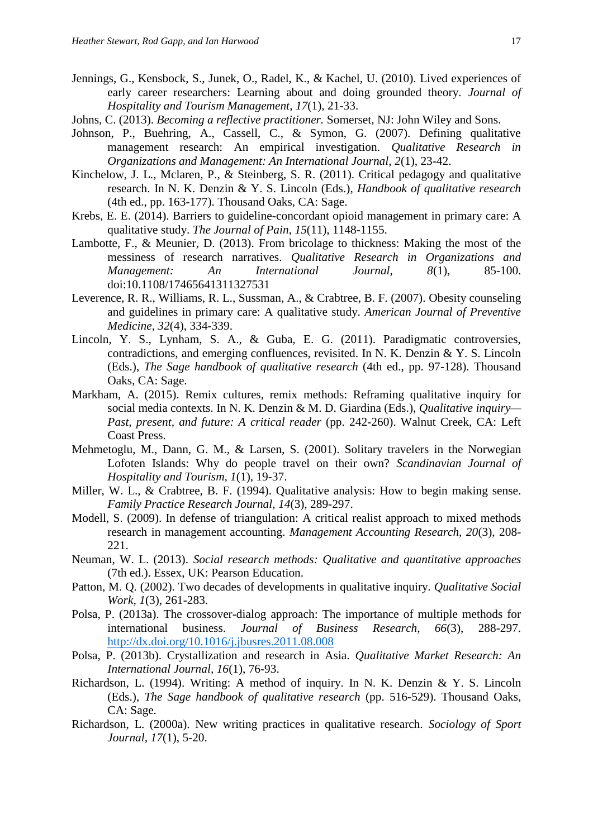- Jennings, G., Kensbock, S., Junek, O., Radel, K., & Kachel, U. (2010). Lived experiences of early career researchers: Learning about and doing grounded theory. *Journal of Hospitality and Tourism Management*, *17*(1), 21-33.
- Johns, C. (2013). *Becoming a reflective practitioner.* Somerset, NJ: John Wiley and Sons.
- Johnson, P., Buehring, A., Cassell, C., & Symon, G. (2007). Defining qualitative management research: An empirical investigation. *Qualitative Research in Organizations and Management: An International Journal, 2*(1), 23-42.
- Kinchelow, J. L., Mclaren, P., & Steinberg, S. R. (2011). Critical pedagogy and qualitative research. In N. K. Denzin & Y. S. Lincoln (Eds.), *Handbook of qualitative research* (4th ed., pp. 163-177). Thousand Oaks, CA: Sage.
- Krebs, E. E. (2014). Barriers to guideline-concordant opioid management in primary care: A qualitative study. *The Journal of Pain*, *15*(11), 1148-1155.
- Lambotte, F., & Meunier, D. (2013). From bricolage to thickness: Making the most of the messiness of research narratives. *Qualitative Research in Organizations and Management: An International Journal, 8*(1), 85-100. doi:10.1108/17465641311327531
- Leverence, R. R., Williams, R. L., Sussman, A., & Crabtree, B. F. (2007). Obesity counseling and guidelines in primary care: A qualitative study. *American Journal of Preventive Medicine, 32*(4), 334-339.
- Lincoln, Y. S., Lynham, S. A., & Guba, E. G. (2011). Paradigmatic controversies, contradictions, and emerging confluences, revisited. In N. K. Denzin & Y. S. Lincoln (Eds.), *The Sage handbook of qualitative research* (4th ed., pp. 97-128). Thousand Oaks, CA: Sage.
- Markham, A. (2015). Remix cultures, remix methods: Reframing qualitative inquiry for social media contexts. In N. K. Denzin & M. D. Giardina (Eds.), *Qualitative inquiry— Past, present, and future: A critical reader* (pp. 242-260). Walnut Creek, CA: Left Coast Press.
- Mehmetoglu, M., Dann, G. M., & Larsen, S. (2001). Solitary travelers in the Norwegian Lofoten Islands: Why do people travel on their own? *Scandinavian Journal of Hospitality and Tourism, 1*(1), 19-37.
- Miller, W. L., & Crabtree, B. F. (1994). Qualitative analysis: How to begin making sense. *Family Practice Research Journal, 14*(3), 289-297.
- Modell, S. (2009). In defense of triangulation: A critical realist approach to mixed methods research in management accounting. *Management Accounting Research, 20*(3), 208- 221.
- Neuman, W. L. (2013). *Social research methods: Qualitative and quantitative approaches* (7th ed.). Essex, UK: Pearson Education.
- Patton, M. Q. (2002). Two decades of developments in qualitative inquiry. *Qualitative Social Work, 1*(3), 261-283.
- Polsa, P. (2013a). The crossover-dialog approach: The importance of multiple methods for international business. *Journal of Business Research, 66*(3), 288-297. <http://dx.doi.org/10.1016/j.jbusres.2011.08.008>
- Polsa, P. (2013b). Crystallization and research in Asia. *Qualitative Market Research: An International Journal, 16*(1), 76-93.
- Richardson, L. (1994). Writing: A method of inquiry. In N. K. Denzin & Y. S. Lincoln (Eds.), *The Sage handbook of qualitative research* (pp. 516-529). Thousand Oaks, CA: Sage.
- Richardson, L. (2000a). New writing practices in qualitative research. *Sociology of Sport Journal, 17*(1), 5-20.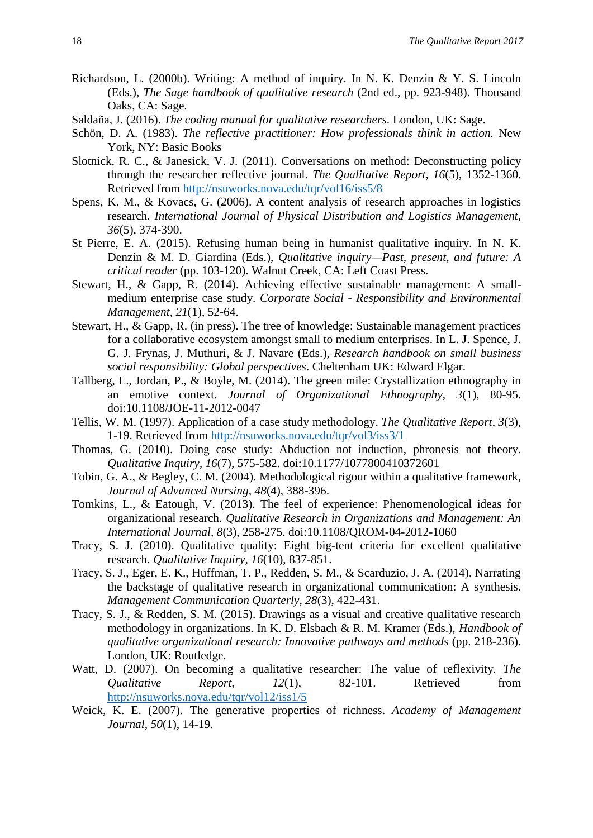- Richardson, L. (2000b). Writing: A method of inquiry. In N. K. Denzin & Y. S. Lincoln (Eds.), *The Sage handbook of qualitative research* (2nd ed., pp. 923-948). Thousand Oaks, CA: Sage.
- Saldaña, J. (2016). *The coding manual for qualitative researchers*. London, UK: Sage.
- Schön, D. A. (1983). *The reflective practitioner: How professionals think in action.* New York, NY: Basic Books
- Slotnick, R. C., & Janesick, V. J. (2011). Conversations on method: Deconstructing policy through the researcher reflective journal. *The Qualitative Report, 16*(5), 1352-1360. Retrieved from<http://nsuworks.nova.edu/tqr/vol16/iss5/8>
- Spens, K. M., & Kovacs, G. (2006). A content analysis of research approaches in logistics research. *International Journal of Physical Distribution and Logistics Management, 36*(5), 374-390.
- St Pierre, E. A. (2015). Refusing human being in humanist qualitative inquiry. In N. K. Denzin & M. D. Giardina (Eds.), *Qualitative inquiry—Past, present, and future: A critical reader* (pp. 103-120). Walnut Creek, CA: Left Coast Press.
- Stewart, H., & Gapp, R. (2014). Achieving effective sustainable management: A smallmedium enterprise case study. *Corporate Social - Responsibility and Environmental Management, 21*(1), 52-64.
- Stewart, H., & Gapp, R. (in press). The tree of knowledge: Sustainable management practices for a collaborative ecosystem amongst small to medium enterprises. In L. J. Spence, J. G. J. Frynas, J. Muthuri, & J. Navare (Eds.), *Research handbook on small business social responsibility: Global perspectives*. Cheltenham UK: Edward Elgar.
- Tallberg, L., Jordan, P., & Boyle, M. (2014). The green mile: Crystallization ethnography in an emotive context. *Journal of Organizational Ethnography, 3*(1), 80-95. doi:10.1108/JOE-11-2012-0047
- Tellis, W. M. (1997). Application of a case study methodology. *The Qualitative Report*, *3*(3), 1-19. Retrieved from<http://nsuworks.nova.edu/tqr/vol3/iss3/1>
- Thomas, G. (2010). Doing case study: Abduction not induction, phronesis not theory. *Qualitative Inquiry, 16*(7), 575-582. doi:10.1177/1077800410372601
- Tobin, G. A., & Begley, C. M. (2004). Methodological rigour within a qualitative framework, *Journal of Advanced Nursing, 48*(4), 388-396.
- Tomkins, L., & Eatough, V. (2013). The feel of experience: Phenomenological ideas for organizational research. *Qualitative Research in Organizations and Management: An International Journal, 8*(3), 258-275. doi:10.1108/QROM-04-2012-1060
- Tracy, S. J. (2010). Qualitative quality: Eight big-tent criteria for excellent qualitative research. *Qualitative Inquiry, 16*(10), 837-851.
- Tracy, S. J., Eger, E. K., Huffman, T. P., Redden, S. M., & Scarduzio, J. A. (2014). Narrating the backstage of qualitative research in organizational communication: A synthesis. *Management Communication Quarterly, 28*(3), 422-431.
- Tracy, S. J., & Redden, S. M. (2015). Drawings as a visual and creative qualitative research methodology in organizations. In K. D. Elsbach & R. M. Kramer (Eds.), *Handbook of qualitative organizational research: Innovative pathways and methods* (pp. 218-236). London, UK: Routledge.
- Watt, D. (2007). On becoming a qualitative researcher: The value of reflexivity. *The Qualitative Report, 12*(1), 82-101. Retrieved from <http://nsuworks.nova.edu/tqr/vol12/iss1/5>
- Weick, K. E. (2007). The generative properties of richness. *Academy of Management Journal, 50*(1), 14-19.